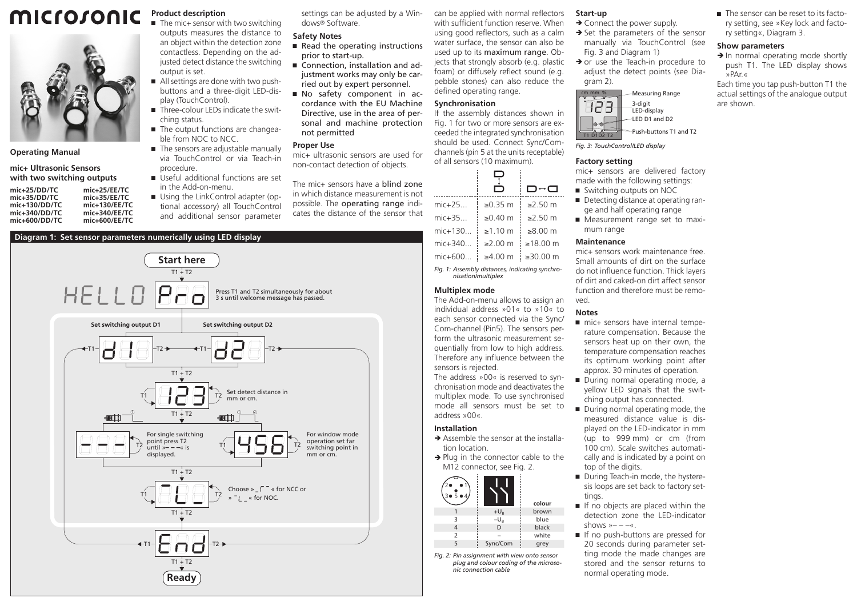#### microsonic **Product description**  $\blacksquare$  The mic+ sensor with two switching



### **Operating Manual**

**mic+ Ultrasonic Sensors with two switching outputs**

**mic+25/DD/TC mic+25/EE/TC mic+35/DD/TC mic+35/EE/TC mic+130/DD/TC mic+130/EE/TC** mic+340/DD/TC mic+500/EE/TC<br>mic+600/DD/TC mic+600/EE/TC **mic+600/DD/TC mic+600/EE/TC**

outputs measures the distance to an object within the detection zone contactless. Depending on the adjusted detect distance the switching output is set.

- All settings are done with two pushbuttons and a three-digit LED-display (TouchControl).
- $\blacksquare$  Three-colour LEDs indicate the switching status.
- The output functions are changeable from NOC to NCC.
- The sensors are adjustable manually via TouchControl or via Teach-in procedure.
- in the Add-on-menu.
- Using the LinkControl adapter (optional accessory) all TouchControl and additional sensor parameter

#### settings can be adjusted by a Windows® Software.

## **Safety Notes**

- $\blacksquare$  Read the operating instructions prior to start-up.
- Connection, installation and adjustment works may only be carried out by expert personnel.
- Ԏ No safety component in accordance with the EU Machine Directive, use in the area of personal and machine protection not permitted

#### **Proper Use**

mic+ ultrasonic sensors are used for non-contact detection of objects.

The mic+ sensors have a **blind zone** in which distance measurement is not possible. The operating range indicates the distance of the sensor that can be applied with normal reflectors with sufficient function reserve. When using good reflectors, such as a calm water surface, the sensor can also be used up to its maximum range. Objects that strongly absorb (e.g. plastic foam) or diffusely reflect sound (e.g. pebble stones) can also reduce the defined operating range.

# **Synchronisation**

If the assembly distances shown in Fig. 1 for two or more sensors are exceeded the integrated synchronisation should be used. Connect Sync/Comchannels (pin 5 at the units receptable) of all sensors (10 maximum).

|                                                                       |                    | □↔□               |  |
|-----------------------------------------------------------------------|--------------------|-------------------|--|
| mic+25                                                                | ≥ $0.35 \text{ m}$ | ≥2.50 m           |  |
| mic+35                                                                | ≥ $0.40$ m         | $\geq$ 2.50 m     |  |
| mic+130                                                               | $\geq 1.10$ m      | $≥8.00 \text{ m}$ |  |
| mic+340                                                               | $≥2.00$ m          | ≥18.00 m          |  |
| mic+600                                                               | ≥4.00 m            | ≥30.00 $m$        |  |
| Fig. 1: Assembly distances, indicating synchro-<br>nisation/multiplex |                    |                   |  |

### **Multiplex mode**

The Add-on-menu allows to assign an individual address »01« to »10« to each sensor connected via the Sync/ Com-channel (Pin5). The sensors perform the ultrasonic measurement sequentially from low to high address. Therefore any influence between the sensors is rejected.

The address »00« is reserved to synchronisation mode and deactivates the multiplex mode. To use synchronised mode all sensors must be set to address »00«.

# **Installation**

- $\rightarrow$  Assemble the sensor at the installation location.
- $\rightarrow$  Plug in the connector cable to the M12 connector, see Fig. 2.

| 504            |          | colour |
|----------------|----------|--------|
|                | $+U_B$   | brown  |
| 3              | $-U_{R}$ | blue   |
|                | D        | black  |
| $\overline{2}$ |          | white  |
| 5              | Sync/Com | grey   |

*Fig. 2: Pin assignment with view onto sensor plug and colour coding of the microsonic connection cable*

# **Start-up**

- $\rightarrow$  Connect the power supply.
- $\rightarrow$  Set the parameters of the sensor manually via TouchControl (see Fig. 3 and Diagram 1)
- $\rightarrow$  or use the Teach-in procedure to adjust the detect points (see Diagram 2).



T1 D1D2 T2

*Fig. 3: TouchControl/LED display*

#### **Factory setting**

mic+ sensors are delivered factory made with the following settings:

- Switching outputs on NOC
- Detecting distance at operating range and half operating range
- Measurement range set to maximum range

#### **Maintenance**

mic+ sensors work maintenance free. Small amounts of dirt on the surface do not influence function. Thick layers of dirt and caked-on dirt affect sensor function and therefore must be removed.

### **Notes**

- $\blacksquare$  mic+ sensors have internal temperature compensation. Because the sensors heat up on their own, the temperature compensation reaches its optimum working point after approx. 30 minutes of operation.
- During normal operating mode, a yellow LED signals that the switching output has connected.
- During normal operating mode, the measured distance value is displayed on the LED-indicator in mm (up to 999 mm) or cm (from 100 cm). Scale switches automatically and is indicated by a point on top of the digits.
- During Teach-in mode, the hysteresis loops are set back to factory settings.
- If no objects are placed within the detection zone the LED-indicator shows  $v = -\alpha$ .
- If no push-buttons are pressed for 20 seconds during parameter setting mode the made changes are stored and the sensor returns to normal operating mode.

■ The sensor can be reset to its factory setting, see »Key lock and factory setting«, Diagram 3.

## **Show parameters**

 $\rightarrow$  In normal operating mode shortly push T1. The LED display shows »PAr.«

Each time you tap push-button T1 the actual settings of the analogue output are shown.



 $T1 + T2$ 

**Ready**

 $\Box$   $\Box$ 

 $T1 + T2$ 

T1 T2

» « for NOC.

Ԏ Useful additional functions are set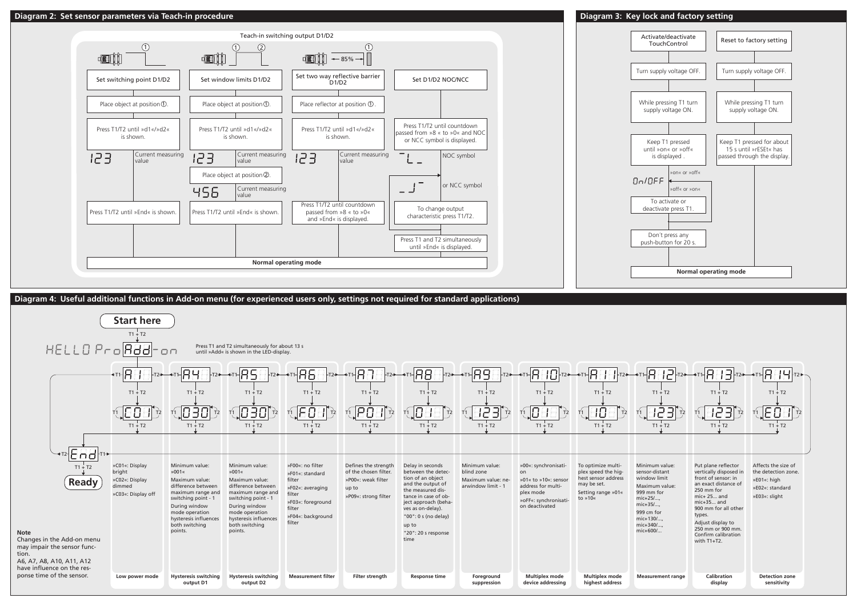